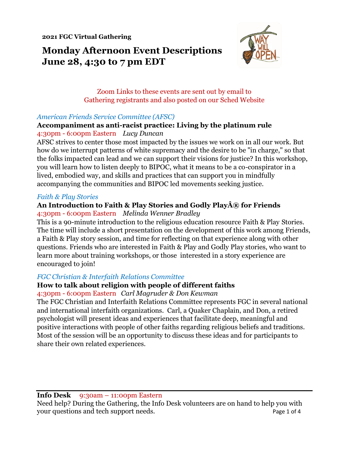**2021 FGC Virtual Gathering**

# **Monday Afternoon Event Descriptions June 28, 4:30 to 7 pm EDT**



# Zoom Links to these events are sent out by email to Gathering registrants and also posted on our Sched Website

## *American Friends Service Committee (AFSC)*

#### **Accompaniment as anti-racist practice: Living by the platinum rule** 4:30pm - 6:00pm Eastern *Lucy Duncan*

AFSC strives to center those most impacted by the issues we work on in all our work. But how do we interrupt patterns of white supremacy and the desire to be "in charge," so that the folks impacted can lead and we can support their visions for justice? In this workshop, you will learn how to listen deeply to BIPOC, what it means to be a co-conspirator in a lived, embodied way, and skills and practices that can support you in mindfully accompanying the communities and BIPOC led movements seeking justice.

#### *Faith & Play Stories*

#### An Introduction to Faith & Play Stories and Godly Play® for Friends 4:30pm - 6:00pm Eastern *Melinda Wenner Bradley*

This is a 90-minute introduction to the religious education resource Faith & Play Stories. The time will include a short presentation on the development of this work among Friends, a Faith & Play story session, and time for reflecting on that experience along with other questions. Friends who are interested in Faith & Play and Godly Play stories, who want to learn more about training workshops, or those interested in a story experience are encouraged to join!

## *FGC Christian & Interfaith Relations Committee*

# **How to talk about religion with people of different faiths**

## 4:30pm - 6:00pm Eastern *Carl Magruder & Don Kewman*

The FGC Christian and Interfaith Relations Committee represents FGC in several national and international interfaith organizations. Carl, a Quaker Chaplain, and Don, a retired psychologist will present ideas and experiences that facilitate deep, meaningful and positive interactions with people of other faiths regarding religious beliefs and traditions. Most of the session will be an opportunity to discuss these ideas and for participants to share their own related experiences.

## **Info Desk** 9:30am – 11:00pm Eastern

Need help? During the Gathering, the Info Desk volunteers are on hand to help you with your questions and tech support needs. Page 1 of 4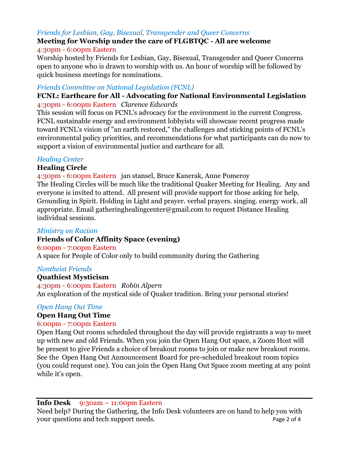# *Friends for Lesbian, Gay, Bisexual, Transgender and Queer Concerns*

#### **Meeting for Worship under the care of FLGBTQC - All are welcome** 4:30pm - 6:00pm Eastern

Worship hosted by Friends for Lesbian, Gay, Bisexual, Transgender and Queer Concerns open to anyone who is drawn to worship with us. An hour of worship will be followed by quick business meetings for nominations.

#### *Friends Committee on National Legislation (FCNL)*

## **FCNL: Earthcare for All - Advocating for National Environmental Legislation** 4:30pm - 6:00pm Eastern *Clarence Edwards*

This session will focus on FCNL's advocacy for the environment in the current Congress. FCNL sustainable energy and environment lobbyists will showcase recent progress made toward FCNL's vision of "an earth restored," the challenges and sticking points of FCNL's environmental policy priorities, and recommendations for what participants can do now to support a vision of environmental justice and earthcare for all.

# *Healing Center*

# **Healing Circle**

4:30pm - 6:00pm Eastern jan stansel, Bruce Kanerak, Anne Pomeroy The Healing Circles will be much like the traditional Quaker Meeting for Healing. Any and everyone is invited to attend. All present will provide support for those asking for help. Grounding in Spirit. Holding in Light and prayer. verbal prayers. singing. energy work, all appropriate. Email gatheringhealingcenter@gmail.com to request Distance Healing individual sessions.

## *Ministry on Racism*

# **Friends of Color Affinity Space (evening)**

## 6:00pm - 7:00pm Eastern

A space for People of Color only to build community during the Gathering

## *Nontheist Friends*

## **Quathiest Mysticism**

4:30pm - 6:00pm Eastern *Robin Alpern* An exploration of the mystical side of Quaker tradition. Bring your personal stories!

## *Open Hang Out Time*

## **Open Hang Out Time**

## 6:00pm - 7:00pm Eastern

Open Hang Out rooms scheduled throughout the day will provide registrants a way to meet up with new and old Friends. When you join the Open Hang Out space, a Zoom Host will be present to give Friends a choice of breakout rooms to join or make new breakout rooms. See the Open Hang Out Announcement Board for pre-scheduled breakout room topics (you could request one). You can join the Open Hang Out Space zoom meeting at any point while it's open.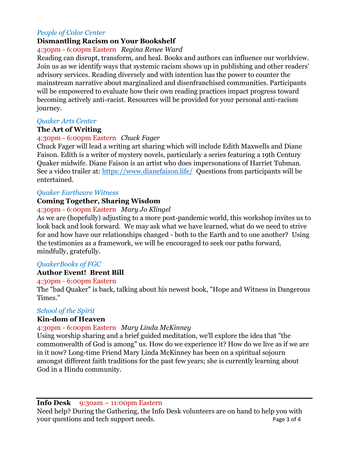#### *People of Color Center*

# **Dismantling Racism on Your Bookshelf**

#### 4:30pm - 6:00pm Eastern *Regina Renee Ward*

Reading can disrupt, transform, and heal. Books and authors can influence our worldview. Join us as we identify ways that systemic racism shows up in publishing and other readers' advisory services. Reading diversely and with intention has the power to counter the mainstream narrative about marginalized and disenfranchised communities. Participants will be empowered to evaluate how their own reading practices impact progress toward becoming actively anti-racist. Resources will be provided for your personal anti-racism journey.

#### *Quaker Arts Center*

#### **The Art of Writing**

## 4:30pm - 6:00pm Eastern *Chuck Fager*

Chuck Fager will lead a writing art sharing which will include Edith Maxwells and Diane Faison. Edith is a writer of mystery novels, particularly a series featuring a 19th Century Quaker midwife. Diane Faison is an artist who does impersonations of Harriet Tubman. See a video trailer at:<https://www.dianefaison.life/> Questions from participants will be entertained.

#### *Quaker Earthcare Witness*

## **Coming Together, Sharing Wisdom**

#### 4:30pm - 6:00pm Eastern *Mary Jo Klingel*

As we are (hopefully) adjusting to a more post-pandemic world, this workshop invites us to look back and look forward. We may ask what we have learned, what do we need to strive for and how have our relationships changed - both to the Earth and to one another? Using the testimonies as a framework, we will be encouraged to seek our paths forward, mindfully, gratefully.

## *QuakerBooks of FGC*

## **Author Event! Brent Bill**

#### 4:30pm - 6:00pm Eastern

The "bad Quaker" is back, talking about his newest book, "Hope and Witness in Dangerous Times."

## *School of the Spirit*

#### **Kin-dom of Heaven**

#### 4:30pm - 6:00pm Eastern *Mary Linda McKinney*

Using worship sharing and a brief guided meditation, we'll explore the idea that "the commonwealth of God is among" us. How do we experience it? How do we live as if we are in it now? Long-time Friend Mary Linda McKinney has been on a spiritual sojourn amongst different faith traditions for the past few years; she is currently learning about God in a Hindu community.